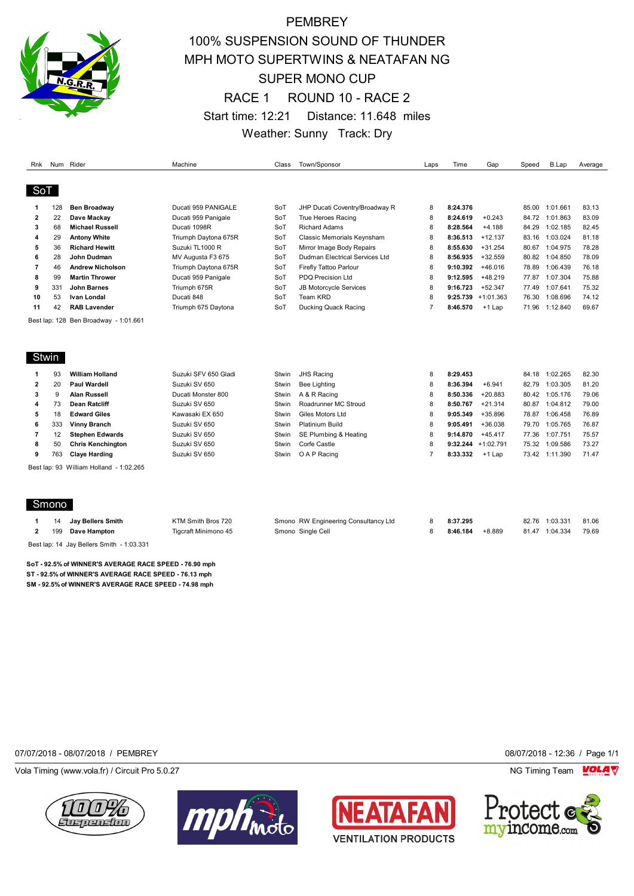

# **PEMBREY** 100% SUSPENSION SOUND OF THUNDER MPH MOTO SUPERTWINS & NEATAFAN NG SUPER MONO CUP RACE 1 ROUND 10 - RACE 2 Start time: 12:21 Distance: 11.648 miles Weather: Sunny Track: Dry

| Rnk            |       | Num Rider                               | Machine              | Class | Town/Sponsor                         | Laps           | Time     | Gap                   | Speed | B.Lap          | Average |
|----------------|-------|-----------------------------------------|----------------------|-------|--------------------------------------|----------------|----------|-----------------------|-------|----------------|---------|
| SoT            |       |                                         |                      |       |                                      |                |          |                       |       |                |         |
|                |       |                                         |                      |       |                                      |                |          |                       |       |                |         |
| 1              | 128   | <b>Ben Broadway</b>                     | Ducati 959 PANIGALE  | SoT   | JHP Ducati Coventry/Broadway R       | 8              | 8:24.376 |                       |       | 85.00 1:01.661 | 83.13   |
| $\mathbf{2}$   | 22    | Dave Mackay                             | Ducati 959 Panigale  | SoT   | <b>True Heroes Racing</b>            | 8              | 8:24.619 | $+0.243$              | 84.72 | 1:01.863       | 83.09   |
| 3              | 68    | <b>Michael Russell</b>                  | Ducati 1098R         | SoT   | <b>Richard Adams</b>                 | 8              | 8:28.564 | $+4.188$              | 84.29 | 1:02.185       | 82.45   |
| 4              | 29    | <b>Antony White</b>                     | Triumph Daytona 675R | SoT   | Classic Memorials Keynsham           | 8              | 8:36.513 | $+12.137$             | 83.16 | 1:03.024       | 81.18   |
| 5              | 36    | <b>Richard Hewitt</b>                   | Suzuki TL1000 R      | SoT   | Mirror Image Body Repairs            | 8              | 8:55.630 | $+31.254$             | 80.67 | 1:04.975       | 78.28   |
| 6              | 28    | John Dudman                             | MV Augusta F3 675    | SoT   | Dudman Electrical Services Ltd       | 8              | 8:56.935 | $+32.559$             | 80.82 | 1:04.850       | 78.09   |
| $\overline{7}$ | 46    | <b>Andrew Nicholson</b>                 | Triumph Daytona 675R | SoT   | Firefly Tattoo Parlour               | 8              | 9:10.392 | $+46.016$             | 78.89 | 1:06.439       | 76.18   |
| 8              | 99    | <b>Martin Thrower</b>                   | Ducati 959 Panigale  | SoT   | <b>PDQ Precision Ltd</b>             | 8              | 9:12.595 | $+48.219$             | 77.87 | 1:07.304       | 75.88   |
| 9              | 331   | <b>John Barnes</b>                      | Triumph 675R         | SoT   | <b>JB Motorcycle Services</b>        | 8              | 9:16.723 | $+52.347$             | 77.49 | 1:07.641       | 75.32   |
| 10             | 53    | <b>Ivan Londal</b>                      | Ducati 848           | SoT   | Team KRD                             | 8              |          | $9:25.739 + 1:01.363$ | 76.30 | 1:08.696       | 74.12   |
| 11             | 42    | <b>RAB Lavender</b>                     | Triumph 675 Daytona  | SoT   | Ducking Quack Racing                 | $\overline{7}$ | 8:46.570 | +1 Lap                | 71.96 | 1:12.840       | 69.67   |
|                |       | Best lap: 128 Ben Broadway - 1:01.661   |                      |       |                                      |                |          |                       |       |                |         |
|                |       |                                         |                      |       |                                      |                |          |                       |       |                |         |
|                |       |                                         |                      |       |                                      |                |          |                       |       |                |         |
| Stwin          |       |                                         |                      |       |                                      |                |          |                       |       |                |         |
| 1              | 93    | <b>William Holland</b>                  | Suzuki SFV 650 Gladi | Stwin | <b>JHS Racing</b>                    | 8              | 8:29.453 |                       | 84.18 | 1:02.265       | 82.30   |
| $\mathbf{2}$   | 20    | <b>Paul Wardell</b>                     | Suzuki SV 650        | Stwin | <b>Bee Lighting</b>                  | 8              | 8:36.394 | $+6.941$              | 82.79 | 1:03.305       | 81.20   |
| 3              | 9     | <b>Alan Russell</b>                     | Ducati Monster 800   | Stwin | A & R Racing                         | 8              | 8:50.336 | $+20.883$             | 80.42 | 1:05.176       | 79.06   |
| 4              | 73    | <b>Dean Ratcliff</b>                    | Suzuki SV 650        | Stwin | Roadrunner MC Stroud                 | 8              | 8:50.767 | $+21.314$             | 80.87 | 1:04.812       | 79.00   |
| 5              | 18    | <b>Edward Giles</b>                     | Kawasaki EX 650      | Stwin | Giles Motors Ltd                     | 8              | 9:05.349 | $+35.896$             | 78.87 | 1:06.458       | 76.89   |
| 6              | 333   | <b>Vinny Branch</b>                     | Suzuki SV 650        | Stwin | <b>Platinium Build</b>               | 8              | 9:05.491 | $+36.038$             | 79.70 | 1:05.765       | 76.87   |
| $\overline{7}$ | 12    | <b>Stephen Edwards</b>                  | Suzuki SV 650        | Stwin | SE Plumbing & Heating                | 8              | 9:14.870 | $+45.417$             | 77.36 | 1:07.751       | 75.57   |
| 8              | 50    | <b>Chris Kenchington</b>                | Suzuki SV 650        | Stwin | Corfe Castle                         | 8              | 9:32.244 | $+1:02.791$           | 75.32 | 1:09.586       | 73.27   |
| 9              | 763   | <b>Claye Harding</b>                    | Suzuki SV 650        | Stwin | O A P Racing                         | $\overline{7}$ | 8:33.332 | $+1$ Lap              | 73.42 | 1:11.390       | 71.47   |
|                |       |                                         |                      |       |                                      |                |          |                       |       |                |         |
|                |       | Best lap: 93 William Holland - 1:02.265 |                      |       |                                      |                |          |                       |       |                |         |
|                |       |                                         |                      |       |                                      |                |          |                       |       |                |         |
|                |       |                                         |                      |       |                                      |                |          |                       |       |                |         |
|                | Smono |                                         |                      |       |                                      |                |          |                       |       |                |         |
| 1              | 14    | <b>Jay Bellers Smith</b>                | KTM Smith Bros 720   |       | Smono RW Engineering Consultancy Ltd | 8              | 8:37.295 |                       | 82.76 | 1:03.331       | 81.06   |
| $\mathbf{2}$   | 199   | Dave Hampton                            | Tigcraft Minimono 45 |       | Smono Single Cell                    | 8              | 8:46.184 | $+8.889$              |       | 81.47 1:04.334 | 79.69   |
|                |       |                                         |                      |       |                                      |                |          |                       |       |                |         |

Best lap: 14 Jay Bellers Smith - 1:03.331

**SoT - 92.5% of WINNER'S AVERAGE RACE SPEED - 76.90 mph ST - 92.5% of WINNER'S AVERAGE RACE SPEED - 76.13 mph SM - 92.5% of WINNER'S AVERAGE RACE SPEED - 74.98 mph**

07/07/2018 - 08/07/2018 / PEMBREY 08/07/2018 - 12:36 / Page 1/1

Vola Timing (www.vola.fr) / Circuit Pro 5.0.27 NG Timing Team NG Timing Team NG Timing Team NG Timing Team NG







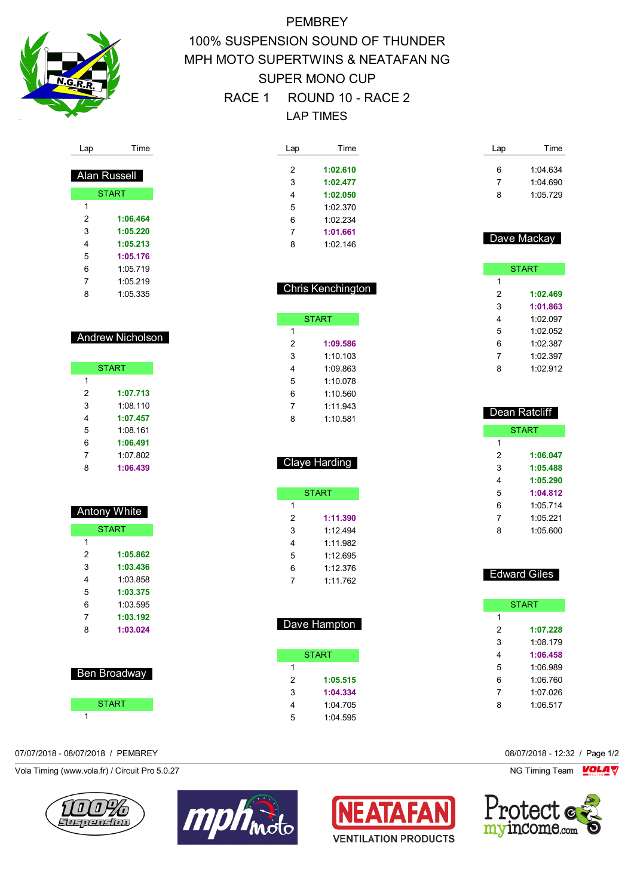

# **PEMBREY** 100% SUSPENSION SOUND OF THUNDER MPH MOTO SUPERTWINS & NEATAFAN NG SUPER MONO CUP RACE 1 ROUND 10 - RACE 2 LAP TIMES

| Lap | Time     |
|-----|----------|
|     |          |
| 2   | 1:02.610 |
| 3   | 1:02.477 |
| 4   | 1:02.050 |
| 5   | 1 02 370 |
| 6   | 1:02 234 |
| 7   | 1:01.661 |
| ጸ   | 1:02 146 |

Chris Kenchington

**START** 

 **1:09.586** 1:10.103 1:09.863 1:10.078 1:10.560 1:11.943 1:10.581

Claye Harding

START

 **1:11.390** 1:12.494 1:11.982 1:12.695 1:12.376 1:11.762

Dave Hampton

**START** 

 **1:05.515 1:04.334** 1:04.705 1:04.595

 $\overline{1}$ 

| Lap | Time     |
|-----|----------|
| 6   | 1:04.634 |
| 7   | 1:04.690 |
| ጸ   | 1:05.729 |

## Dave Mackay **START**  $\overline{1}$  **1:02.469 1:01.863** 1:02.097 1:02.052 1:02.387 1:02.397

1:02.912

| <b>Dean Ratcliff</b> |              |  |
|----------------------|--------------|--|
|                      | <b>START</b> |  |
| 1                    |              |  |
| 2                    | 1:06.047     |  |
| 3                    | 1:05.488     |  |
| 4                    | 1:05.290     |  |
| 5                    | 1:04.812     |  |
| 6                    | 1:05 714     |  |
| 7                    | 1.05221      |  |
| ឧ                    | 1:05 600     |  |

| <b>Edward Giles</b> |
|---------------------|
|---------------------|

|   | <b>START</b> |
|---|--------------|
| 1 |              |
| 2 | 1:07.228     |
| 3 | 1:08.179     |
| 4 | 1:06.458     |
| 5 | 1:06.989     |
| 6 | 1:06.760     |
| 7 | 1:07.026     |
| ጸ | 1:06.517     |
|   |              |

07/07/2018 - 08/07/2018 / PEMBREY 08/07/2018 - 12:32 / Page 1/2



| <b>Andrew Nicholson</b> |
|-------------------------|

Lap Time

 **1:06.464 1:05.220 1:05.213 1:05.176** 1:05.719 1:05.219 1:05.335

 Alan Russell **START** 

|   | <b>START</b> |
|---|--------------|
| 1 |              |
| 2 | 1:07.713     |
| 3 | 1:08.110     |
| 4 | 1:07.457     |
| 5 | 1:08.161     |
| 6 | 1:06.491     |
| 7 | 1.07 802     |
| Ŗ | 1:06.439     |

|   | Antony White |
|---|--------------|
|   | <b>START</b> |
| 1 |              |
| 2 | 1:05.862     |
| 3 | 1:03.436     |
| 4 | 1:03 858     |
| 5 | 1:03.375     |
| 6 | 1:03.595     |
| 7 | 1:03.192     |
| 8 | 1:03.024     |
|   |              |
|   |              |



# Vola Timing (www.vola.fr) / Circuit Pro 5.0.27 NG Timing Team NG Timing Team NG Timing Team NG Timing Team NG





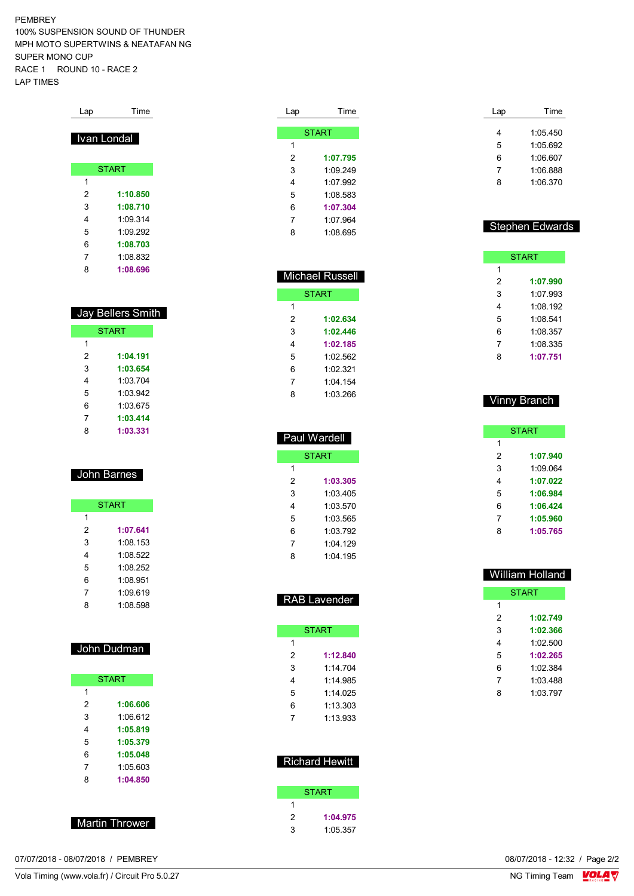PEMBREY 100% SUSPENSION SOUND OF THUNDER MPH MOTO SUPERTWINS & NEATAFAN NG SUPER MONO CUP RACE 1 ROUND 10 - RACE 2 LAP TIMES

| Lap | Time               |
|-----|--------------------|
|     |                    |
|     | <u>Ivan Londal</u> |
|     |                    |
|     | <b>START</b>       |
| 1   |                    |
| 2   | 1:10.850           |
| 3   | 1:08.710           |
| 4   | 1.093314           |
| 5   | 1.09292            |
| 6   | 1:08.703           |
| 7   | 1:08.832           |
| 8   | 1:08.696           |

| <b>Jay Bellers Smith</b> |              |  |
|--------------------------|--------------|--|
|                          | <b>START</b> |  |
| 1                        |              |  |
| 2                        | 1:04.191     |  |
| 3                        | 1:03.654     |  |
| 4                        | 1:03 704     |  |
| 5                        | 1.03942      |  |
| 6                        | 1:03.675     |  |
| 7                        | 1:03.414     |  |
| 8                        | 1:03.331     |  |

## John Barnes

|   | <b>START</b> |
|---|--------------|
| 1 |              |
| 2 | 1:07.641     |
| 3 | 1:08.153     |
| 4 | 1:08.522     |
| 5 | 1:08 252     |
| 6 | 1:08 951     |
| 7 | 1:09.619     |
| 8 | 1:08.598     |

### John Dudman

|   | <b>START</b> |
|---|--------------|
| 1 |              |
| 2 | 1:06.606     |
| 3 | 1:06.612     |
| 4 | 1:05.819     |
| 5 | 1:05.379     |
| 6 | 1:05.048     |
| 7 | 1:05.603     |
| 8 | 1:04.850     |
|   |              |

Martin Thrower

|   | <b>START</b> |
|---|--------------|
| 1 |              |
| 2 | 1:07.795     |
| 3 | 1.09249      |
| 4 | 1:07.992     |
| 5 | 1:08.583     |
| 6 | 1:07.304     |
| 7 | 1:07.964     |
| ጸ | 1:08 695     |

Lap Time

|   | Michael Russell |  |  |  |  |  |  |  |
|---|-----------------|--|--|--|--|--|--|--|
|   | <b>START</b>    |  |  |  |  |  |  |  |
| 1 |                 |  |  |  |  |  |  |  |
| 2 | 1:02.634        |  |  |  |  |  |  |  |
| 3 | 1:02.446        |  |  |  |  |  |  |  |
| 4 | 1:02.185        |  |  |  |  |  |  |  |
| 5 | 1:02.562        |  |  |  |  |  |  |  |
| 6 | 1:02.321        |  |  |  |  |  |  |  |
| 7 | 1:04 154        |  |  |  |  |  |  |  |
| 8 | 1.03.266        |  |  |  |  |  |  |  |

|   | Paul Wardell |
|---|--------------|
|   | <b>START</b> |
| 1 |              |
| 2 | 1:03.305     |
| 3 | 1:03 405     |
| 4 | 1:03.570     |
| 5 | 1:03.565     |
| 6 | 1:03 792     |
| 7 | $1.04$ 129   |
| 8 | 1:04.195     |

| <b>RAB Lavender</b> |
|---------------------|
|---------------------|

|   | START    |
|---|----------|
| 1 |          |
| 2 | 1:12.840 |
| 3 | 1.14.704 |
| 4 | 1:14 985 |
| 5 | 1:14 025 |
| 6 | 1:13.303 |
|   | 1:13.933 |

|   | <b>Richard Hewitt</b> |
|---|-----------------------|
|   |                       |
|   | START                 |
|   |                       |
| 2 | 1:04.975              |
| 3 | 1:05.357              |

| Lap | Time     |
|-----|----------|
| 4   | 1:05.450 |
| 5   | 1:05.692 |
| 6   | 1.06607  |
| 7   | 1:06.888 |
| ጸ   | 1.06370  |

#### Stephen Edwards

|   | <b>START</b> |
|---|--------------|
| 1 |              |
| 2 | 1:07.990     |
| 3 | 1:07 993     |
| 4 | 1:08.192     |
| 5 | 1:08.541     |
| 6 | 1:08.357     |
| 7 | 1:08.335     |
| ឧ | 1:07.751     |

#### Vinny Branch

|   | <b>START</b> |
|---|--------------|
| 1 |              |
| 2 | 1:07.940     |
| 3 | 1:09.064     |
| 4 | 1:07.022     |
| 5 | 1:06.984     |
| 6 | 1:06.424     |
| 7 | 1:05.960     |
| ጸ | 1:05.765     |
|   |              |

|              | <b>William Holland</b> |  |  |  |  |  |  |  |  |  |
|--------------|------------------------|--|--|--|--|--|--|--|--|--|
| <b>START</b> |                        |  |  |  |  |  |  |  |  |  |
| 1            |                        |  |  |  |  |  |  |  |  |  |
| 2            | 1:02.749               |  |  |  |  |  |  |  |  |  |
| 3            | 1:02.366               |  |  |  |  |  |  |  |  |  |
| 4            | 1:02.500               |  |  |  |  |  |  |  |  |  |
| 5            | 1:02.265               |  |  |  |  |  |  |  |  |  |
| 6            | 1:02.384               |  |  |  |  |  |  |  |  |  |
| 7            | 1:03 488               |  |  |  |  |  |  |  |  |  |
| 8            | 1.03797                |  |  |  |  |  |  |  |  |  |
|              |                        |  |  |  |  |  |  |  |  |  |

07/07/2018 - 08/07/2018 / PEMBREY